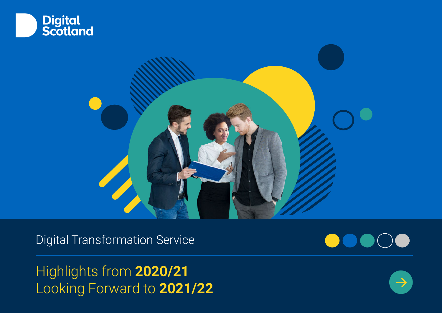



Digital Transformation Service

Highlights from **2020/21** Looking Forward to **2021/22**

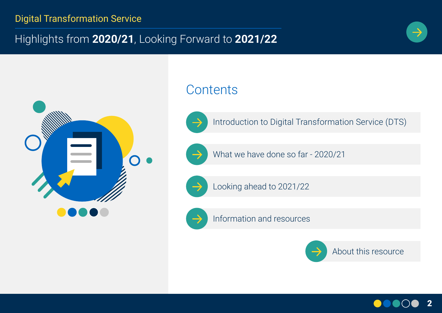# Highlights from **2020/21**, Looking Forward to **2021/22**





# **Contents**



Introduction to Digital Transformation Service (DTS)



What we have done so far - 2020/21



Looking ahead to 2021/22





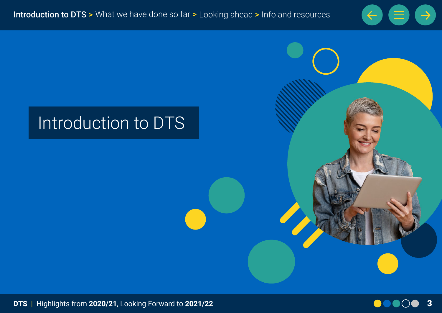



# Introduction to DTS

DTS | Highlights from **2020/21**, Looking Forward to **2021/22** 3

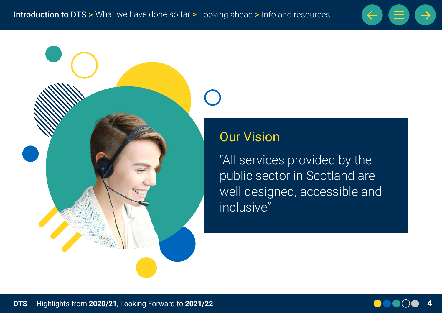



# Our Vision

"All services provided by the public sector in Scotland are well designed, accessible and inclusive"

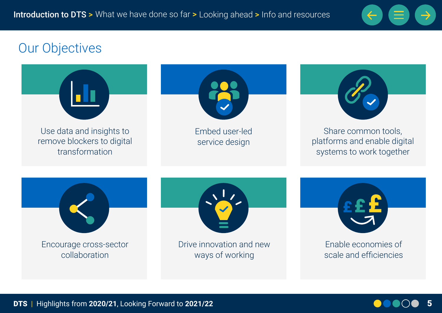

# Our Objectives



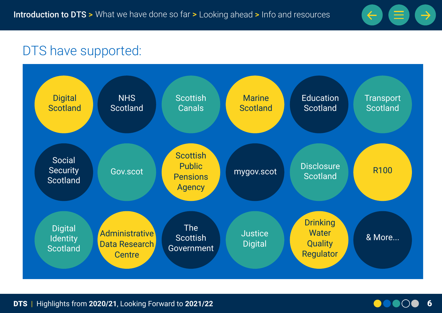

# DTS have supported:



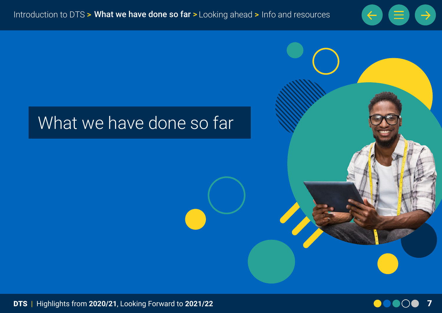

# What we have done so far

DTS | Highlights from **2020/21**, Looking Forward to **2021/22** 7

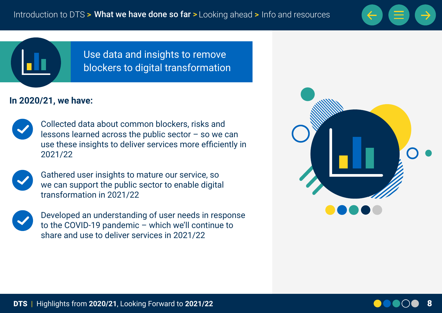



Use data and insights to remove blockers to digital transformation

#### **In 2020/21, we have:**



Collected data about common blockers, risks and lessons learned across the public sector  $-$  so we can use these insights to deliver services more efficiently in 2021/22



Gathered user insights to mature our service, so we can support the public sector to enable digital transformation in 2021/22



Developed an understanding of user needs in response to the COVID-19 pandemic – which we'll continue to share and use to deliver services in 2021/22

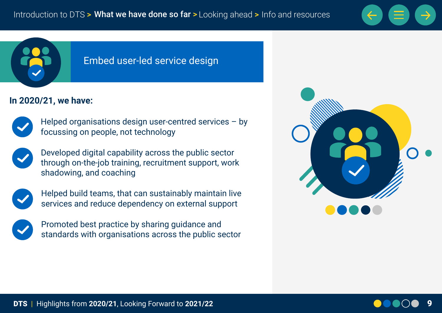



#### Embed user-led service design

#### **In 2020/21, we have:**



Helped organisations design user-centred services – by focussing on people, not technology



Developed digital capability across the public sector through on-the-job training, recruitment support, work shadowing, and coaching



Helped build teams, that can sustainably maintain live services and reduce dependency on external support



Promoted best practice by sharing guidance and standards with organisations across the public sector



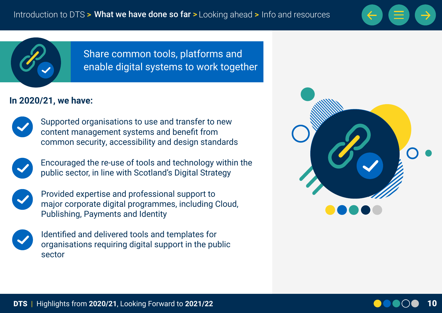



Share common tools, platforms and enable digital systems to work together

#### **In 2020/21, we have:**



Supported organisations to use and transfer to new content management systems and benefit from common security, accessibility and design standards

Encouraged the re-use of tools and technology within the public sector, in line with Scotland's Digital Strategy



Provided expertise and professional support to major corporate digital programmes, including Cloud, Publishing, Payments and Identity

Identified and delivered tools and templates for organisations requiring digital support in the public sector

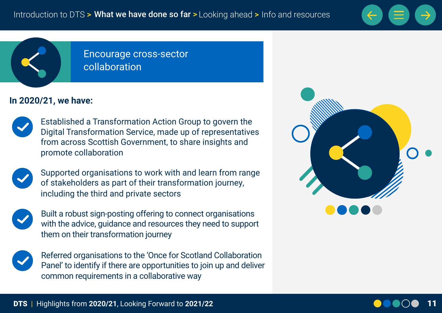

Encourage cross-sector collaboration

#### **In 2020/21, we have:**



Established a Transformation Action Group to govern the Digital Transformation Service, made up of representatives from across Scottish Government, to share insights and promote collaboration



Supported organisations to work with and learn from range of stakeholders as part of their transformation journey, including the third and private sectors



Built a robust sign-posting offering to connect organisations with the advice, guidance and resources they need to support them on their transformation journey



Referred organisations to the 'Once for Scotland Collaboration Panel' to identify if there are opportunities to join up and deliver common requirements in a collaborative way



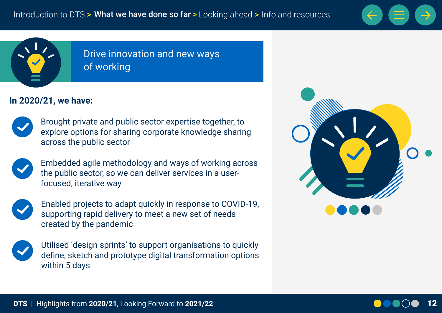



## Drive innovation and new ways of working

#### **In 2020/21, we have:**



Brought private and public sector expertise together, to explore options for sharing corporate knowledge sharing across the public sector



Embedded agile methodology and ways of working across the public sector, so we can deliver services in a userfocused, iterative way



Enabled projects to adapt quickly in response to COVID-19, supporting rapid delivery to meet a new set of needs created by the pandemic

Utilised 'design sprints' to support organisations to quickly define, sketch and prototype digital transformation options within 5 days



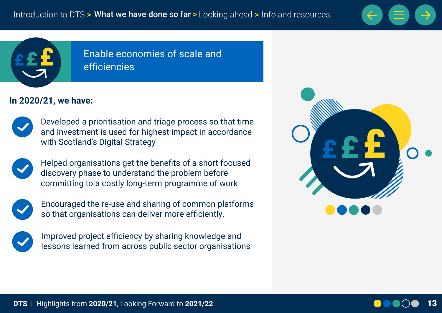



### Enable economies of scale and efficiencies

#### **In 2020/21, we have:**



Developed a prioritisation and triage process so that time and investment is used for highest impact in accordance with Scotland's Digital Strategy



Helped organisations get the benefits of a short focused discovery phase to understand the problem before committing to a costly long-term programme of work



Encouraged the re-use and sharing of common platforms so that organisations can deliver more efficiently.



Improved project efficiency by sharing knowledge and lessons learned from across public sector organisations



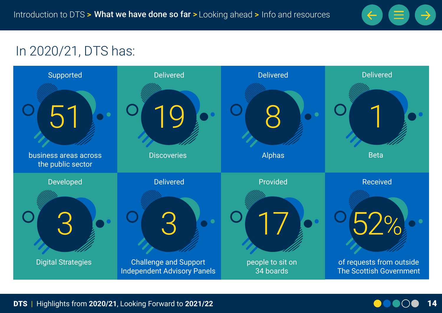

# In 2020/21, DTS has:



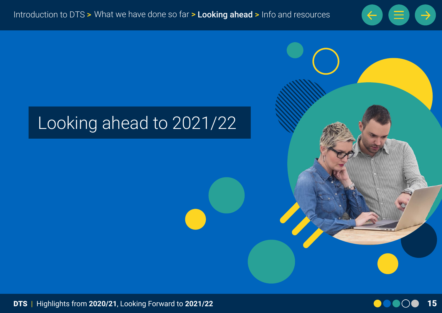

# Looking ahead to 2021/22



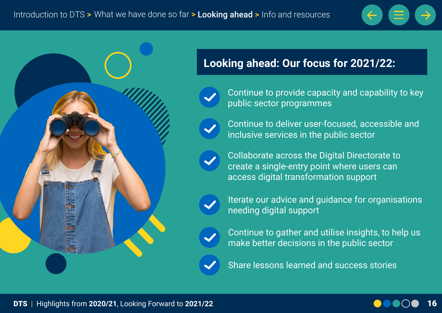



## **Looking ahead: Our focus for 2021/22:**

- Continue to provide capacity and capability to key public sector programmes
	- Continue to deliver user-focused, accessible and inclusive services in the public sector
	- Collaborate across the Digital Directorate to create a single-entry point where users can access digital transformation support
	- Iterate our advice and guidance for organisations needing digital support
- Continue to gather and utilise insights, to help us make better decisions in the public sector
- Share lessons learned and success stories

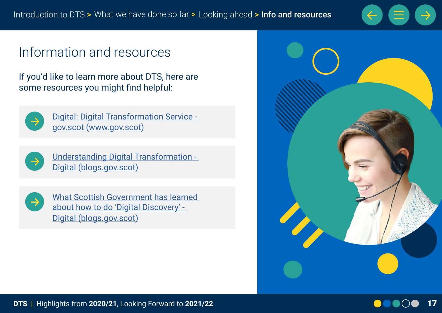

# Information and resources

If you'd like to learn more about DTS, here are some resources you might find helpful:



[Digital: Digital Transformation Service](https://www.gov.scot/policies/digital/digital-transformation-service/)  [gov.scot \(www.gov.scot\)](https://www.gov.scot/policies/digital/digital-transformation-service/)



[Understanding Digital Transformation -](https://blogs.gov.scot/digital/2020/08/06/understanding-digital-transformation/)  [Digital \(blogs.gov.scot\)](https://blogs.gov.scot/digital/2020/08/06/understanding-digital-transformation/)



[What Scottish Government has learned](https://blogs.gov.scot/digital/2020/12/04/what-scottish-government-has-learned-about-how-to-do-digital-discovery/)  [about how to do 'Digital Discovery' -](https://blogs.gov.scot/digital/2020/12/04/what-scottish-government-has-learned-about-how-to-do-digital-discovery/)  [Digital \(blogs.gov.scot\)](https://blogs.gov.scot/digital/2020/12/04/what-scottish-government-has-learned-about-how-to-do-digital-discovery/)